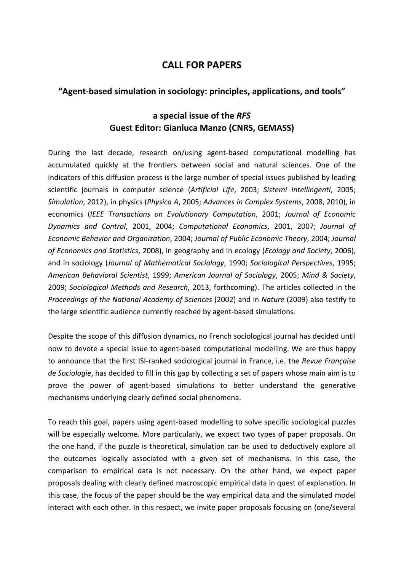## **CALL FOR PAPERS**

## **"Agent-based simulation in sociology: principles, applications, and tools"**

## **a special issue of the** *RFS* **Guest Editor: Gianluca Manzo (CNRS, GEMASS)**

During the last decade, research on/using agent-based computational modelling has accumulated quickly at the frontiers between social and natural sciences. One of the indicators of this diffusion process is the large number of special issues published by leading scientific journals in computer science (*Artificial Life*, 2003; *Sistemi Intellingenti*, 2005; *Simulation*, 2012), in physics (*Physica A*, 2005; *Advances in Complex Systems*, 2008, 2010), in economics (*IEEE Transactions on Evolutionary Computation*, 2001; *Journal of Economic Dynamics and Control*, 2001, 2004; *Computational Economics*, 2001, 2007; *Journal of Economic Behavior and Organization*, 2004; *Journal of Public Economic Theory*, 2004; *Journal of Economics and Statistics*, 2008), in geography and in ecology (*Ecology and Society*, 2006), and in sociology (*Journal of Mathematical Sociology*, 1990; *Sociological Perspectives*, 1995; *American Behavioral Scientist*, 1999; *American Journal of Sociology*, 2005; *Mind & Society*, 2009; *Sociological Methods and Research*, 2013, forthcoming). The articles collected in the *Proceedings of the National Academy of Sciences* (2002) and in *Nature* (2009) also testify to the large scientific audience currently reached by agent-based simulations.

Despite the scope of this diffusion dynamics, no French sociological journal has decided until now to devote a special issue to agent-based computational modelling. We are thus happy to announce that the first ISI-ranked sociological journal in France, i.e. the *Revue Française de Sociologie*, has decided to fill in this gap by collecting a set of papers whose main aim is to prove the power of agent-based simulations to better understand the generative mechanisms underlying clearly defined social phenomena.

To reach this goal, papers using agent-based modelling to solve specific sociological puzzles will be especially welcome. More particularly, we expect two types of paper proposals. On the one hand, if the puzzle is theoretical, simulation can be used to deductively explore all the outcomes logically associated with a given set of mechanisms. In this case, the comparison to empirical data is not necessary. On the other hand, we expect paper proposals dealing with clearly defined macroscopic empirical data in quest of explanation. In this case, the focus of the paper should be the way empirical data and the simulated model interact with each other. In this respect, we invite paper proposals focusing on (one/several